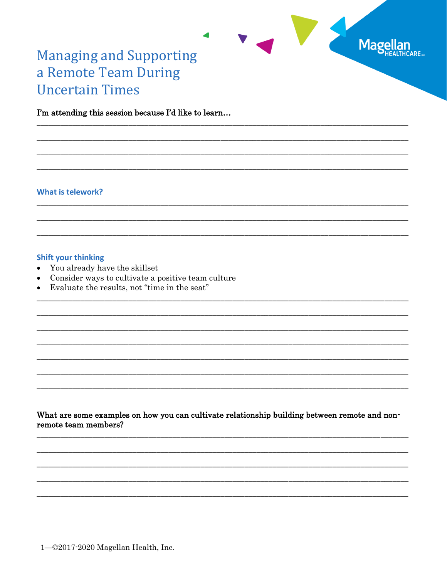

# **Managing and Supporting** a Remote Team During **Uncertain Times**

I'm attending this session because I'd like to learn...

#### **What is telework?**

# **Shift your thinking**

- $\bullet$ You already have the skillset
- Consider ways to cultivate a positive team culture  $\bullet$
- Evaluate the results, not "time in the seat"  $\bullet$

What are some examples on how you can cultivate relationship building between remote and nonremote team members?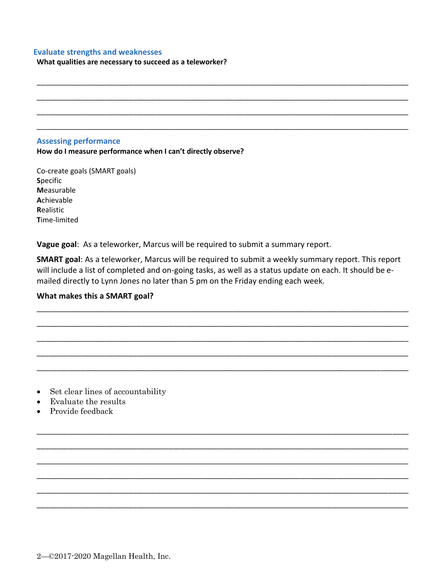#### **Evaluate strengths and weaknesses**

**What qualities are necessary to succeed as a teleworker?** 

#### **Assessing performance**

**How do I measure performance when I can't directly observe?** 

Co-create goals (SMART goals) **S**pecific **M**easurable **A**chievable **R**ealistic **T**ime-limited

**Vague goal**: As a teleworker, Marcus will be required to submit a summary report.

**SMART goal**: As a teleworker, Marcus will be required to submit a weekly summary report. This report will include a list of completed and on-going tasks, as well as a status update on each. It should be emailed directly to Lynn Jones no later than 5 pm on the Friday ending each week.

\_\_\_\_\_\_\_\_\_\_\_\_\_\_\_\_\_\_\_\_\_\_\_\_\_\_\_\_\_\_\_\_\_\_\_\_\_\_\_\_\_\_\_\_\_\_\_\_\_\_\_\_\_\_\_\_\_\_\_\_\_\_\_\_\_\_\_\_\_\_\_\_\_\_\_\_\_\_\_\_\_\_\_\_\_\_\_\_\_\_\_\_\_

\_\_\_\_\_\_\_\_\_\_\_\_\_\_\_\_\_\_\_\_\_\_\_\_\_\_\_\_\_\_\_\_\_\_\_\_\_\_\_\_\_\_\_\_\_\_\_\_\_\_\_\_\_\_\_\_\_\_\_\_\_\_\_\_\_\_\_\_\_\_\_\_\_\_\_\_\_\_\_\_\_\_\_\_\_\_\_\_\_\_\_\_\_

\_\_\_\_\_\_\_\_\_\_\_\_\_\_\_\_\_\_\_\_\_\_\_\_\_\_\_\_\_\_\_\_\_\_\_\_\_\_\_\_\_\_\_\_\_\_\_\_\_\_\_\_\_\_\_\_\_\_\_\_\_\_\_\_\_\_\_\_\_\_\_\_\_\_\_\_\_\_\_\_\_\_\_\_\_\_\_\_\_\_\_\_\_

\_\_\_\_\_\_\_\_\_\_\_\_\_\_\_\_\_\_\_\_\_\_\_\_\_\_\_\_\_\_\_\_\_\_\_\_\_\_\_\_\_\_\_\_\_\_\_\_\_\_\_\_\_\_\_\_\_\_\_\_\_\_\_\_\_\_\_\_\_\_\_\_\_\_\_\_\_\_\_\_\_\_\_\_\_\_\_\_\_\_\_\_\_

\_\_\_\_\_\_\_\_\_\_\_\_\_\_\_\_\_\_\_\_\_\_\_\_\_\_\_\_\_\_\_\_\_\_\_\_\_\_\_\_\_\_\_\_\_\_\_\_\_\_\_\_\_\_\_\_\_\_\_\_\_\_\_\_\_\_\_\_\_\_\_\_\_\_\_\_\_\_\_\_\_\_\_\_\_\_\_\_\_\_\_\_\_

\_\_\_\_\_\_\_\_\_\_\_\_\_\_\_\_\_\_\_\_\_\_\_\_\_\_\_\_\_\_\_\_\_\_\_\_\_\_\_\_\_\_\_\_\_\_\_\_\_\_\_\_\_\_\_\_\_\_\_\_\_\_\_\_\_\_\_\_\_\_\_\_\_\_\_\_\_\_\_\_\_\_\_\_\_\_\_\_\_\_\_\_\_

\_\_\_\_\_\_\_\_\_\_\_\_\_\_\_\_\_\_\_\_\_\_\_\_\_\_\_\_\_\_\_\_\_\_\_\_\_\_\_\_\_\_\_\_\_\_\_\_\_\_\_\_\_\_\_\_\_\_\_\_\_\_\_\_\_\_\_\_\_\_\_\_\_\_\_\_\_\_\_\_\_\_\_\_\_\_\_\_\_\_\_\_\_

\_\_\_\_\_\_\_\_\_\_\_\_\_\_\_\_\_\_\_\_\_\_\_\_\_\_\_\_\_\_\_\_\_\_\_\_\_\_\_\_\_\_\_\_\_\_\_\_\_\_\_\_\_\_\_\_\_\_\_\_\_\_\_\_\_\_\_\_\_\_\_\_\_\_\_\_\_\_\_\_\_\_\_\_\_\_\_\_\_\_\_\_\_

\_\_\_\_\_\_\_\_\_\_\_\_\_\_\_\_\_\_\_\_\_\_\_\_\_\_\_\_\_\_\_\_\_\_\_\_\_\_\_\_\_\_\_\_\_\_\_\_\_\_\_\_\_\_\_\_\_\_\_\_\_\_\_\_\_\_\_\_\_\_\_\_\_\_\_\_\_\_\_\_\_\_\_\_\_\_\_\_\_\_\_\_\_

\_\_\_\_\_\_\_\_\_\_\_\_\_\_\_\_\_\_\_\_\_\_\_\_\_\_\_\_\_\_\_\_\_\_\_\_\_\_\_\_\_\_\_\_\_\_\_\_\_\_\_\_\_\_\_\_\_\_\_\_\_\_\_\_\_\_\_\_\_\_\_\_\_\_\_\_\_\_\_\_\_\_\_\_\_\_\_\_\_\_\_\_\_

\_\_\_\_\_\_\_\_\_\_\_\_\_\_\_\_\_\_\_\_\_\_\_\_\_\_\_\_\_\_\_\_\_\_\_\_\_\_\_\_\_\_\_\_\_\_\_\_\_\_\_\_\_\_\_\_\_\_\_\_\_\_\_\_\_\_\_\_\_\_\_\_\_\_\_\_\_\_\_\_\_\_\_\_\_\_\_\_\_\_\_\_\_

\_\_\_\_\_\_\_\_\_\_\_\_\_\_\_\_\_\_\_\_\_\_\_\_\_\_\_\_\_\_\_\_\_\_\_\_\_\_\_\_\_\_\_\_\_\_\_\_\_\_\_\_\_\_\_\_\_\_\_\_\_\_\_\_\_\_\_\_\_\_\_\_\_\_\_\_\_\_\_\_\_\_\_\_\_\_\_\_\_\_\_\_\_

\_\_\_\_\_\_\_\_\_\_\_\_\_\_\_\_\_\_\_\_\_\_\_\_\_\_\_\_\_\_\_\_\_\_\_\_\_\_\_\_\_\_\_\_\_\_\_\_\_\_\_\_\_\_\_\_\_\_\_\_\_\_\_\_\_\_\_\_\_\_\_\_\_\_\_\_\_\_\_\_\_\_\_\_\_\_\_\_\_\_\_\_\_

\_\_\_\_\_\_\_\_\_\_\_\_\_\_\_\_\_\_\_\_\_\_\_\_\_\_\_\_\_\_\_\_\_\_\_\_\_\_\_\_\_\_\_\_\_\_\_\_\_\_\_\_\_\_\_\_\_\_\_\_\_\_\_\_\_\_\_\_\_\_\_\_\_\_\_\_\_\_\_\_\_\_\_\_\_\_\_\_\_\_\_\_\_

\_\_\_\_\_\_\_\_\_\_\_\_\_\_\_\_\_\_\_\_\_\_\_\_\_\_\_\_\_\_\_\_\_\_\_\_\_\_\_\_\_\_\_\_\_\_\_\_\_\_\_\_\_\_\_\_\_\_\_\_\_\_\_\_\_\_\_\_\_\_\_\_\_\_\_\_\_\_\_\_\_\_\_\_\_\_\_\_\_\_\_\_\_

#### **What makes this a SMART goal?**

• Set clear lines of accountability

- Evaluate the results
- Provide feedback

2—©2017-2020 Magellan Health, Inc.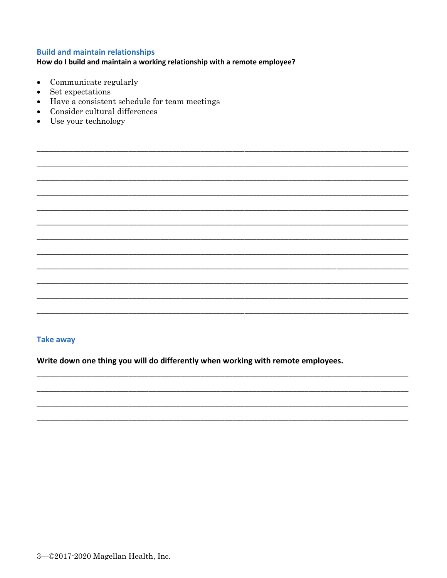## **Build and maintain relationships**

# How do I build and maintain a working relationship with a remote employee?

- Communicate regularly  $\bullet$
- Set expectations
- Have a consistent schedule for team meetings
- Consider cultural differences
- Use your technology

# **Take away**

Write down one thing you will do differently when working with remote employees.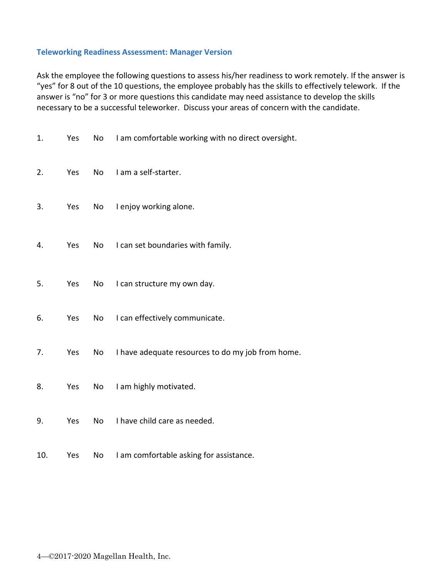### **Teleworking Readiness Assessment: Manager Version**

Ask the employee the following questions to assess his/her readiness to work remotely. If the answer is "yes" for 8 out of the 10 questions, the employee probably has the skills to effectively telework. If the answer is "no" for 3 or more questions this candidate may need assistance to develop the skills necessary to be a successful teleworker. Discuss your areas of concern with the candidate.

| 1.  | Yes | No | I am comfortable working with no direct oversight. |
|-----|-----|----|----------------------------------------------------|
| 2.  | Yes | No | I am a self-starter.                               |
| 3.  | Yes | No | I enjoy working alone.                             |
| 4.  | Yes | No | I can set boundaries with family.                  |
| 5.  | Yes | No | I can structure my own day.                        |
| 6.  | Yes | No | I can effectively communicate.                     |
| 7.  | Yes | No | I have adequate resources to do my job from home.  |
| 8.  | Yes | No | I am highly motivated.                             |
| 9.  | Yes | No | I have child care as needed.                       |
| 10. | Yes | No | I am comfortable asking for assistance.            |